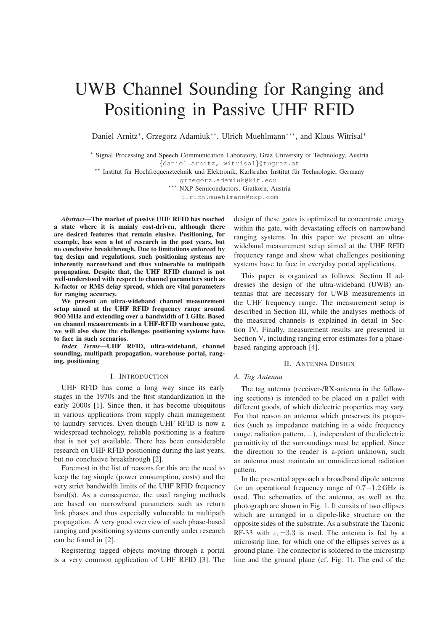# UWB Channel Sounding for Ranging and Positioning in Passive UHF RFID

Daniel Arnitz\*, Grzegorz Adamiuk\*\*, Ulrich Muehlmann\*\*\*, and Klaus Witrisal\*

∗ Signal Processing and Speech Communication Laboratory, Graz University of Technology, Austria {daniel.arnitz, witrisal}@tugraz.at

\*\* Institut für Hochfrequenztechnik und Elektronik, Karlsruher Institut für Technologie, Germany

grzegorz.adamiuk@kit.edu

∗∗∗ NXP Semiconductors, Gratkorn, Austria

ulrich.muehlmann@nxp.com

*Abstract***—The market of passive UHF RFID has reached a state where it is mainly cost-driven, although there are desired features that remain elusive. Positioning, for example, has seen a lot of research in the past years, but no conclusive breakthrough. Due to limitations enforced by tag design and regulations, such positioning systems are inherently narrowband and thus vulnerable to multipath propagation. Despite that, the UHF RFID channel is not well-understood with respect to channel parameters such as K-factor or RMS delay spread, which are vital parameters for ranging accuracy.**

**We present an ultra-wideband channel measurement setup aimed at the UHF RFID frequency range around** 900 **MHz and extending over a bandwidth of** 1 **GHz. Based on channel measurements in a UHF-RFID warehouse gate, we will also show the challenges positioning systems have to face in such scenarios.**

*Index Terms***—UHF RFID, ultra-wideband, channel sounding, multipath propagation, warehouse portal, ranging, positioning**

## I. INTRODUCTION

UHF RFID has come a long way since its early stages in the 1970s and the first standardization in the early 2000s [1]. Since then, it has become ubiquitous in various applications from supply chain management to laundry services. Even though UHF RFID is now a widespread technology, reliable positioning is a feature that is not yet available. There has been considerable research on UHF RFID positioning during the last years, but no conclusive breakthrough [2].

Foremost in the list of reasons for this are the need to keep the tag simple (power consumption, costs) and the very strict bandwidth limits of the UHF RFID frequency band(s). As a consequence, the used ranging methods are based on narrowband parameters such as return link phases and thus especially vulnerable to multipath propagation. A very good overview of such phase-based ranging and positioning systems currently under research can be found in [2].

Registering tagged objects moving through a portal is a very common application of UHF RFID [3]. The

design of these gates is optimized to concentrate energy within the gate, with devastating effects on narrowband ranging systems. In this paper we present an ultrawideband measurement setup aimed at the UHF RFID frequency range and show what challenges positioning systems have to face in everyday portal applications.

This paper is organized as follows: Section II addresses the design of the ultra-wideband (UWB) antennas that are necessary for UWB measurements in the UHF frequency range. The measurement setup is described in Section III, while the analyses methods of the measured channels is explained in detail in Section IV. Finally, measurement results are presented in Section V, including ranging error estimates for a phasebased ranging approach [4].

## II. ANTENNA DESIGN

## *A. Tag Antenna*

The tag antenna (receiver-/RX-antenna in the following sections) is intended to be placed on a pallet with different goods, of which dielectric properties may vary. For that reason an antenna which preserves its properties (such as impedance matching in a wide frequency range, radiation pattern, ...), independent of the dielectric permittivity of the surroundings must be applied. Since the direction to the reader is a-priori unknown, such an antenna must maintain an omnidirectional radiation pattern.

In the presented approach a broadband dipole antenna for an operational frequency range of 0.7−1.2 GHz is used. The schematics of the antenna, as well as the photograph are shown in Fig. 1. It consits of two ellipses which are arranged in a dipole-like structure on the opposite sides of the substrate. As a substrate the Taconic RF-33 with  $\varepsilon_r$ =3.3 is used. The antenna is fed by a microstrip line, for which one of the ellipses serves as a ground plane. The connector is soldered to the microstrip line and the ground plane (cf. Fig. 1). The end of the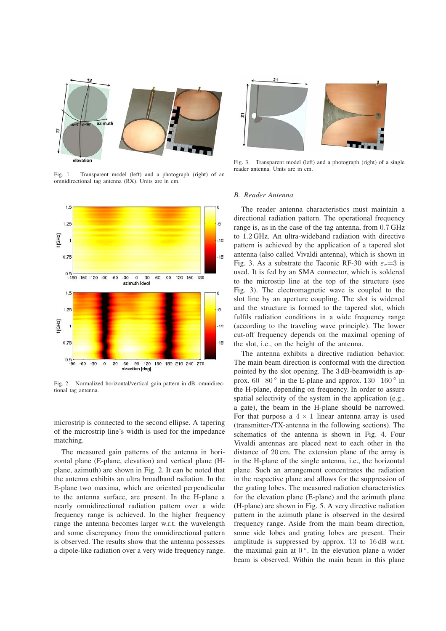

Fig. 1. Transparent model (left) and a photograph (right) of an omnidirectional tag antenna (RX). Units are in cm.



Fig. 2. Normalized horizontal/vertical gain pattern in dB: omnidirectional tag antenna.

microstrip is connected to the second ellipse. A tapering of the microstrip line's width is used for the impedance matching.

The measured gain patterns of the antenna in horizontal plane (E-plane, elevation) and vertical plane (Hplane, azimuth) are shown in Fig. 2. It can be noted that the antenna exhibits an ultra broadband radiation. In the E-plane two maxima, which are oriented perpendicular to the antenna surface, are present. In the H-plane a nearly omnidirectional radiation pattern over a wide frequency range is achieved. In the higher frequency range the antenna becomes larger w.r.t. the wavelength and some discrepancy from the omnidirectional pattern is observed. The results show that the antenna possesses a dipole-like radiation over a very wide frequency range.



Fig. 3. Transparent model (left) and a photograph (right) of a single reader antenna. Units are in cm.

#### *B. Reader Antenna*

The reader antenna characteristics must maintain a directional radiation pattern. The operational frequency range is, as in the case of the tag antenna, from 0.7 GHz to 1.2 GHz. An ultra-wideband radiation with directive pattern is achieved by the application of a tapered slot antenna (also called Vivaldi antenna), which is shown in Fig. 3. As a substrate the Taconic RF-30 with  $\varepsilon_r=3$  is used. It is fed by an SMA connector, which is soldered to the microstip line at the top of the structure (see Fig. 3). The electromagnetic wave is coupled to the slot line by an aperture coupling. The slot is widened and the structure is formed to the tapered slot, which fulfils radiation conditions in a wide frequency range (according to the traveling wave principle). The lower cut-off frequency depends on the maximal opening of the slot, i.e., on the height of the antenna.

The antenna exhibits a directive radiation behavior. The main beam direction is conformal with the direction pointed by the slot opening. The 3 dB-beamwidth is approx.  $60-80^\circ$  in the E-plane and approx.  $130-160^\circ$  in the H-plane, depending on frequency. In order to assure spatial selectivity of the system in the application (e.g., a gate), the beam in the H-plane should be narrowed. For that purpose a  $4 \times 1$  linear antenna array is used (transmitter-/TX-antenna in the following sections). The schematics of the antenna is shown in Fig. 4. Four Vivaldi antennas are placed next to each other in the distance of 20 cm. The extension plane of the array is in the H-plane of the single antenna, i.e., the horizontal plane. Such an arrangement concentrates the radiation in the respective plane and allows for the suppression of the grating lobes. The measured radiation characteristics for the elevation plane (E-plane) and the azimuth plane (H-plane) are shown in Fig. 5. A very directive radiation pattern in the azimuth plane is observed in the desired frequency range. Aside from the main beam direction, some side lobes and grating lobes are present. Their amplitude is suppressed by approx. 13 to 16 dB w.r.t. the maximal gain at  $0^{\circ}$ . In the elevation plane a wider beam is observed. Within the main beam in this plane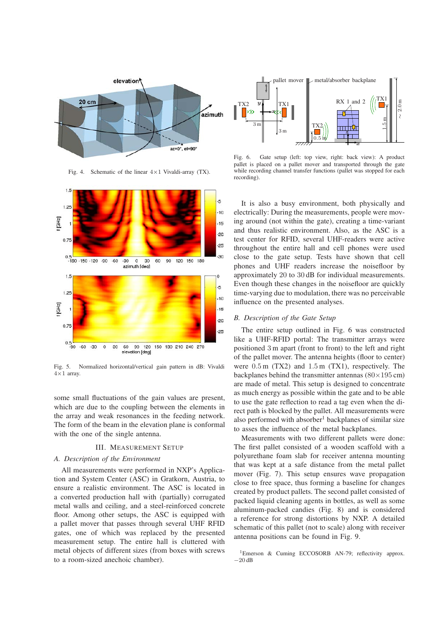

Fig. 4. Schematic of the linear  $4 \times 1$  Vivaldi-array (TX).



Fig. 5. Normalized horizontal/vertical gain pattern in dB: Vivaldi  $4\times1$  array.

some small fluctuations of the gain values are present, which are due to the coupling between the elements in the array and weak resonances in the feeding network. The form of the beam in the elevation plane is conformal with the one of the single antenna.

## III. MEASUREMENT SETUP

## *A. Description of the Environment*

All measurements were performed in NXP's Application and System Center (ASC) in Gratkorn, Austria, to ensure a realistic environment. The ASC is located in a converted production hall with (partially) corrugated metal walls and ceiling, and a steel-reinforced concrete floor. Among other setups, the ASC is equipped with a pallet mover that passes through several UHF RFID gates, one of which was replaced by the presented measurement setup. The entire hall is cluttered with metal objects of different sizes (from boxes with screws to a room-sized anechoic chamber).



Fig. 6. Gate setup (left: top view, right: back view): A product pallet is placed on a pallet mover and transported through the gate while recording channel transfer functions (pallet was stopped for each recording).

It is also a busy environment, both physically and electrically: During the measurements, people were moving around (not within the gate), creating a time-variant and thus realistic environment. Also, as the ASC is a test center for RFID, several UHF-readers were active throughout the entire hall and cell phones were used close to the gate setup. Tests have shown that cell phones and UHF readers increase the noisefloor by approximately 20 to 30 dB for individual measurements. Even though these changes in the noisefloor are quickly time-varying due to modulation, there was no perceivable influence on the presented analyses.

## *B. Description of the Gate Setup*

The entire setup outlined in Fig. 6 was constructed like a UHF-RFID portal: The transmitter arrays were positioned 3 m apart (front to front) to the left and right of the pallet mover. The antenna heights (floor to center) were 0.5 m (TX2) and 1.5 m (TX1), respectively. The backplanes behind the transmitter antennas ( $80 \times 195$  cm) are made of metal. This setup is designed to concentrate as much energy as possible within the gate and to be able to use the gate reflection to read a tag even when the direct path is blocked by the pallet. All measurements were also performed with absorber<sup>1</sup> backplanes of similar size to asses the influence of the metal backplanes.

Measurements with two different pallets were done: The first pallet consisted of a wooden scaffold with a polyurethane foam slab for receiver antenna mounting that was kept at a safe distance from the metal pallet mover (Fig. 7). This setup ensures wave propagation close to free space, thus forming a baseline for changes created by product pallets. The second pallet consisted of packed liquid cleaning agents in bottles, as well as some aluminum-packed candies (Fig. 8) and is considered a reference for strong distortions by NXP. A detailed schematic of this pallet (not to scale) along with receiver antenna positions can be found in Fig. 9.

<sup>&</sup>lt;sup>1</sup>Emerson & Cuming ECCOSORB AN-79; reflectivity approx. −20 dB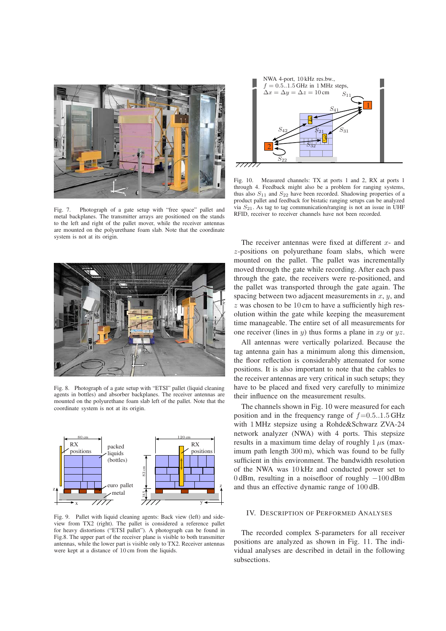

Fig. 7. Photograph of a gate setup with "free space" pallet and metal backplanes. The transmitter arrays are positioned on the stands to the left and right of the pallet mover, while the receiver antennas are mounted on the polyurethane foam slab. Note that the coordinate system is not at its origin.



Fig. 8. Photograph of a gate setup with "ETSI" pallet (liquid cleaning agents in bottles) and absorber backplanes. The receiver antennas are mounted on the polyurethane foam slab left of the pallet. Note that the coordinate system is not at its origin.



Fig. 9. Pallet with liquid cleaning agents: Back view (left) and sideview from TX2 (right). The pallet is considered a reference pallet for heavy distortions ("ETSI pallet"). A photograph can be found in Fig.8. The upper part of the receiver plane is visible to both transmitter antennas, while the lower part is visible only to TX2. Receiver antennas were kept at a distance of 10 cm from the liquids.



Fig. 10. Measured channels: TX at ports 1 and 2, RX at ports 1 through 4. Feedback might also be a problem for ranging systems, thus also  $S_{11}$  and  $S_{22}$  have been recorded. Shadowing properties of a product pallet and feedback for bistatic ranging setups can be analyzed via  $S_{21}$ . As tag to tag communication/ranging is not an issue in UHF RFID, receiver to receiver channels have not been recorded.

The receiver antennas were fixed at different  $x$ - and z-positions on polyurethane foam slabs, which were mounted on the pallet. The pallet was incrementally moved through the gate while recording. After each pass through the gate, the receivers were re-positioned, and the pallet was transported through the gate again. The spacing between two adjacent measurements in  $x$ ,  $y$ , and  $z$  was chosen to be 10 cm to have a sufficiently high resolution within the gate while keeping the measurement time manageable. The entire set of all measurements for one receiver (lines in  $y$ ) thus forms a plane in  $xy$  or  $yz$ .

All antennas were vertically polarized. Because the tag antenna gain has a minimum along this dimension, the floor reflection is considerably attenuated for some positions. It is also important to note that the cables to the receiver antennas are very critical in such setups; they have to be placed and fixed very carefully to minimize their influence on the measurement results.

The channels shown in Fig. 10 were measured for each position and in the frequency range of  $f=0.5.1.5$  GHz with 1 MHz stepsize using a Rohde&Schwarz ZVA-24 network analyzer (NWA) with 4 ports. This stepsize results in a maximum time delay of roughly  $1 \mu s$  (maximum path length 300 m), which was found to be fully sufficient in this environment. The bandwidth resolution of the NWA was 10 kHz and conducted power set to 0 dBm, resulting in a noisefloor of roughly −100 dBm and thus an effective dynamic range of 100 dB.

## IV. DESCRIPTION OF PERFORMED ANALYSES

The recorded complex S-parameters for all receiver positions are analyzed as shown in Fig. 11. The individual analyses are described in detail in the following subsections.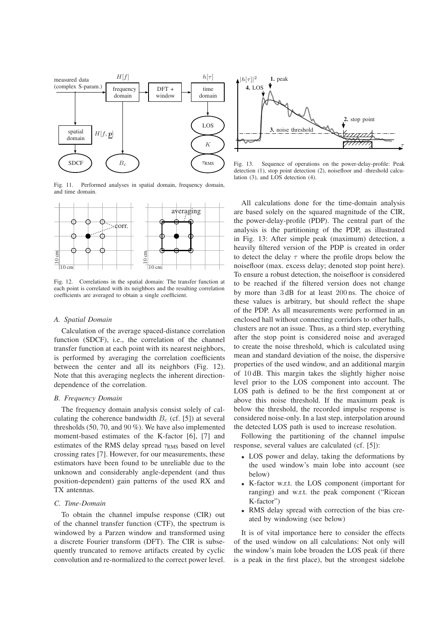

Fig. 11. Performed analyses in spatial domain, frequency domain, and time domain.



Fig. 12. Correlations in the spatial domain: The transfer function at each point is correlated with its neighbors and the resulting correlation coefficients are averaged to obtain a single coefficient.

### *A. Spatial Domain*

Calculation of the average spaced-distance correlation function (SDCF), i.e., the correlation of the channel transfer function at each point with its nearest neighbors, is performed by averaging the correlation coefficients between the center and all its neighbors (Fig. 12). Note that this averaging neglects the inherent directiondependence of the correlation.

#### *B. Frequency Domain*

The frequency domain analysis consist solely of calculating the coherence bandwidth  $B_c$  (cf. [5]) at several thresholds (50, 70, and 90 %). We have also implemented moment-based estimates of the K-factor [6], [7] and estimates of the RMS delay spread  $\tau_{RMS}$  based on level crossing rates [7]. However, for our measurements, these estimators have been found to be unreliable due to the unknown and considerably angle-dependent (and thus position-dependent) gain patterns of the used RX and TX antennas.

### *C. Time-Domain*

To obtain the channel impulse response (CIR) out of the channel transfer function (CTF), the spectrum is windowed by a Parzen window and transformed using a discrete Fourier transform (DFT). The CIR is subsequently truncated to remove artifacts created by cyclic convolution and re-normalized to the correct power level.



Fig. 13. Sequence of operations on the power-delay-profile: Peak detection (1), stop point detection (2), noisefloor and -threshold calculation (3), and LOS detection (4).

All calculations done for the time-domain analysis are based solely on the squared magnitude of the CIR, the power-delay-profile (PDP). The central part of the analysis is the partitioning of the PDP, as illustrated in Fig. 13: After simple peak (maximum) detection, a heavily filtered version of the PDP is created in order to detect the delay  $\tau$  where the profile drops below the noisefloor (max. excess delay; denoted stop point here). To ensure a robust detection, the noisefloor is considered to be reached if the filtered version does not change by more than 3 dB for at least 200 ns. The choice of these values is arbitrary, but should reflect the shape of the PDP. As all measurements were performed in an enclosed hall without connecting corridors to other halls, clusters are not an issue. Thus, as a third step, everything after the stop point is considered noise and averaged to create the noise threshold, which is calculated using mean and standard deviation of the noise, the dispersive properties of the used window, and an additional margin of 10 dB. This margin takes the slightly higher noise level prior to the LOS component into account. The LOS path is defined to be the first component at or above this noise threshold. If the maximum peak is below the threshold, the recorded impulse response is considered noise-only. In a last step, interpolation around the detected LOS path is used to increase resolution.

Following the partitioning of the channel impulse response, several values are calculated (cf. [5]):

- LOS power and delay, taking the deformations by the used window's main lobe into account (see below)
- K-factor w.r.t. the LOS component (important for ranging) and w.r.t. the peak component ("Ricean K-factor")
- RMS delay spread with correction of the bias created by windowing (see below)

It is of vital importance here to consider the effects of the used window on all calculations: Not only will the window's main lobe broaden the LOS peak (if there is a peak in the first place), but the strongest sidelobe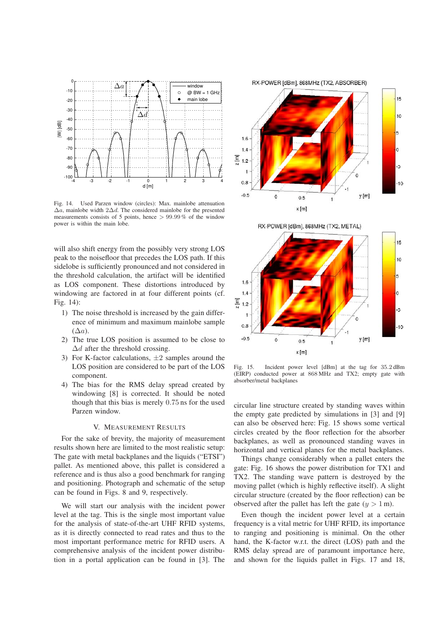

Fig. 14. Used Parzen window (circles): Max. mainlobe attenuation  $\Delta a$ , mainlobe width 2 $\Delta d$ . The considered mainlobe for the presented measurements consists of 5 points, hence > 99.99 % of the window power is within the main lobe.

will also shift energy from the possibly very strong LOS peak to the noisefloor that precedes the LOS path. If this sidelobe is sufficiently pronounced and not considered in the threshold calculation, the artifact will be identified as LOS component. These distortions introduced by windowing are factored in at four different points (cf. Fig. 14):

- 1) The noise threshold is increased by the gain difference of minimum and maximum mainlobe sample  $(\Delta a)$ .
- 2) The true LOS position is assumed to be close to  $\Delta d$  after the threshold crossing.
- 3) For K-factor calculations,  $\pm 2$  samples around the LOS position are considered to be part of the LOS component.
- 4) The bias for the RMS delay spread created by windowing [8] is corrected. It should be noted though that this bias is merely 0.75 ns for the used Parzen window.

### V. MEASUREMENT RESULTS

For the sake of brevity, the majority of measurement results shown here are limited to the most realistic setup: The gate with metal backplanes and the liquids ("ETSI") pallet. As mentioned above, this pallet is considered a reference and is thus also a good benchmark for ranging and positioning. Photograph and schematic of the setup can be found in Figs. 8 and 9, respectively.

We will start our analysis with the incident power level at the tag. This is the single most important value for the analysis of state-of-the-art UHF RFID systems, as it is directly connected to read rates and thus to the most important performance metric for RFID users. A comprehensive analysis of the incident power distribution in a portal application can be found in [3]. The







Fig. 15. Incident power level [dBm] at the tag for 35.2 dBm (EIRP) conducted power at 868 MHz and TX2; empty gate with absorber/metal backplanes

circular line structure created by standing waves within the empty gate predicted by simulations in [3] and [9] can also be observed here: Fig. 15 shows some vertical circles created by the floor reflection for the absorber backplanes, as well as pronounced standing waves in horizontal and vertical planes for the metal backplanes.

Things change considerably when a pallet enters the gate: Fig. 16 shows the power distribution for TX1 and TX2. The standing wave pattern is destroyed by the moving pallet (which is highly reflective itself). A slight circular structure (created by the floor reflection) can be observed after the pallet has left the gate  $(y > 1 \text{ m})$ .

Even though the incident power level at a certain frequency is a vital metric for UHF RFID, its importance to ranging and positioning is minimal. On the other hand, the K-factor w.r.t. the direct (LOS) path and the RMS delay spread are of paramount importance here, and shown for the liquids pallet in Figs. 17 and 18,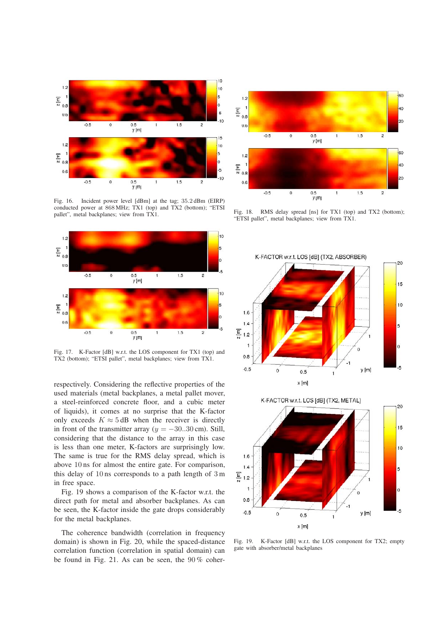

Fig. 16. Incident power level [dBm] at the tag; 35.2 dBm (EIRP) conducted power at 868 MHz; TX1 (top) and TX2 (bottom); "ETSI pallet", metal backplanes; view from TX1.



Fig. 17. K-Factor [dB] w.r.t. the LOS component for TX1 (top) and TX2 (bottom); "ETSI pallet", metal backplanes; view from TX1.

respectively. Considering the reflective properties of the used materials (metal backplanes, a metal pallet mover, a steel-reinforced concrete floor, and a cubic meter of liquids), it comes at no surprise that the K-factor only exceeds  $K \approx 5$  dB when the receiver is directly in front of the transmitter array ( $y = -30.30$  cm). Still, considering that the distance to the array in this case is less than one meter, K-factors are surprisingly low. The same is true for the RMS delay spread, which is above 10 ns for almost the entire gate. For comparison, this delay of 10 ns corresponds to a path length of 3 m in free space.

Fig. 19 shows a comparison of the K-factor w.r.t. the direct path for metal and absorber backplanes. As can be seen, the K-factor inside the gate drops considerably for the metal backplanes.

The coherence bandwidth (correlation in frequency domain) is shown in Fig. 20, while the spaced-distance correlation function (correlation in spatial domain) can be found in Fig. 21. As can be seen, the 90 % coher-



Fig. 18. RMS delay spread [ns] for TX1 (top) and TX2 (bottom); "ETSI pallet", metal backplanes; view from TX1.





Fig. 19. K-Factor [dB] w.r.t. the LOS component for TX2; empty gate with absorber/metal backplanes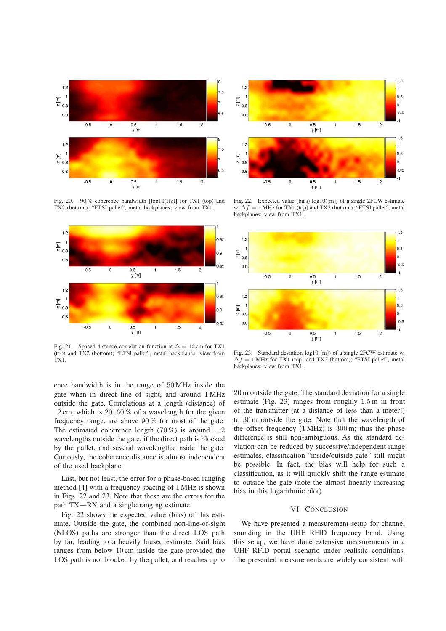

Fig. 20. 90 % coherence bandwidth [log10(Hz)] for TX1 (top) and TX2 (bottom); "ETSI pallet", metal backplanes; view from TX1.



Fig. 21. Spaced-distance correlation function at  $\Delta = 12$  cm for TX1 (top) and TX2 (bottom); "ETSI pallet", metal backplanes; view from TX1.

ence bandwidth is in the range of 50 MHz inside the gate when in direct line of sight, and around 1 MHz outside the gate. Correlations at a length (distance) of 12 cm, which is 20..60 % of a wavelength for the given frequency range, are above 90 % for most of the gate. The estimated coherence length  $(70\%)$  is around 1..2 wavelengths outside the gate, if the direct path is blocked by the pallet, and several wavelengths inside the gate. Curiously, the coherence distance is almost independent of the used backplane.

Last, but not least, the error for a phase-based ranging method [4] with a frequency spacing of 1 MHz is shown in Figs. 22 and 23. Note that these are the errors for the path TX→RX and a single ranging estimate.

Fig. 22 shows the expected value (bias) of this estimate. Outside the gate, the combined non-line-of-sight (NLOS) paths are stronger than the direct LOS path by far, leading to a heavily biased estimate. Said bias ranges from below 10 cm inside the gate provided the LOS path is not blocked by the pallet, and reaches up to



Fig. 22. Expected value (bias) log10([m]) of a single 2FCW estimate w.  $\Delta f = 1$  MHz for TX1 (top) and TX2 (bottom); "ETSI pallet", metal backplanes; view from TX1.



Fig. 23. Standard deviation log10([m]) of a single 2FCW estimate w.  $\Delta f = 1$  MHz for TX1 (top) and TX2 (bottom); "ETSI pallet", metal backplanes; view from TX1.

20 m outside the gate. The standard deviation for a single estimate (Fig. 23) ranges from roughly 1.5 m in front of the transmitter (at a distance of less than a meter!) to 30 m outside the gate. Note that the wavelength of the offset frequency (1 MHz) is 300 m; thus the phase difference is still non-ambiguous. As the standard deviation can be reduced by successive/independent range estimates, classification "inside/outside gate" still might be possible. In fact, the bias will help for such a classification, as it will quickly shift the range estimate to outside the gate (note the almost linearly increasing bias in this logarithmic plot).

## VI. CONCLUSION

We have presented a measurement setup for channel sounding in the UHF RFID frequency band. Using this setup, we have done extensive measurements in a UHF RFID portal scenario under realistic conditions. The presented measurements are widely consistent with